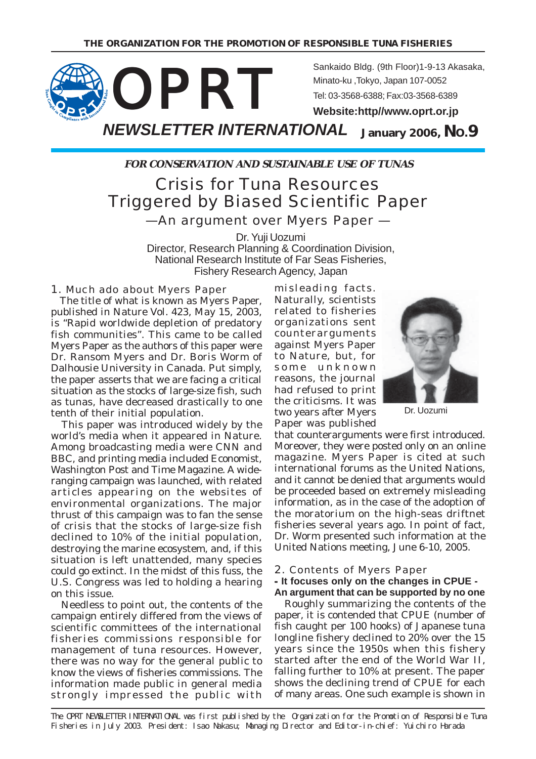

**FOR CONSERVATION AND SUSTAINABLE USE OF TUNAS**

# Crisis for Tuna Resources Triggered by Biased Scientific Paper —An argument over Myers Paper —

Dr. Yuji Uozumi Director, Research Planning & Coordination Division, National Research Institute of Far Seas Fisheries, Fishery Research Agency, Japan

#### 1. Much ado about Myers Paper

 The title of what is known as Myers Paper, published in Nature Vol. 423, May 15, 2003, is "Rapid worldwide depletion of predatory fish communities". This came to be called Myers Paper as the authors of this paper were Dr. Ransom Myers and Dr. Boris Worm of Dalhousie University in Canada. Put simply, the paper asserts that we are facing a critical situation as the stocks of large-size fish, such as tunas, have decreased drastically to one tenth of their initial population.

 This paper was introduced widely by the world's media when it appeared in Nature. Among broadcasting media were CNN and BBC, and printing media included Economist, Washington Post and Time Magazine. A wideranging campaign was launched, with related articles appearing on the websites of environmental organizations. The major thrust of this campaign was to fan the sense of crisis that the stocks of large-size fish declined to 10% of the initial population, destroying the marine ecosystem, and, if this situation is left unattended, many species could go extinct. In the midst of this fuss, the U.S. Congress was led to holding a hearing on this issue.

 Needless to point out, the contents of the campaign entirely differed from the views of scientific committees of the international fisheries commissions responsible for management of tuna resources. However, there was no way for the general public to know the views of fisheries commissions. The information made public in general media strongly impressed the public with

misleading facts. Naturally, scientists related to fisheries organizations sent counterarguments against Myers Paper to Nature, but, for some unknown reasons, the journal had refused to print the criticisms. It was two years after Myers Paper was published



Dr. Uozumi

that counterarguments were first introduced. Moreover, they were posted only on an online magazine. Myers Paper is cited at such international forums as the United Nations, and it cannot be denied that arguments would be proceeded based on extremely misleading information, as in the case of the adoption of the moratorium on the high-seas driftnet fisheries several years ago. In point of fact, Dr. Worm presented such information at the United Nations meeting, June 6-10, 2005.

#### 2. Contents of Myers Paper - **It focuses only on the changes in CPUE - An argument that can be supported by no one**

 Roughly summarizing the contents of the paper, it is contended that CPUE (number of fish caught per 100 hooks) of Japanese tuna longline fishery declined to 20% over the 15 years since the 1950s when this fishery started after the end of the World War II, falling further to 10% at present. The paper shows the declining trend of CPUE for each of many areas. One such example is shown in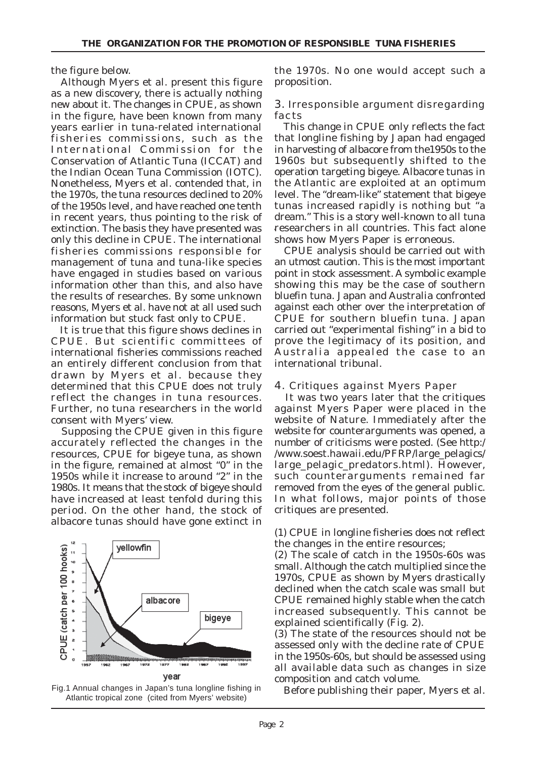the figure below.

 Although Myers et al. present this figure as a new discovery, there is actually nothing new about it. The changes in CPUE, as shown in the figure, have been known from many years earlier in tuna-related international fisheries commissions, such as the International Commission for the Conservation of Atlantic Tuna (ICCAT) and the Indian Ocean Tuna Commission (IOTC). Nonetheless, Myers et al. contended that, in the 1970s, the tuna resources declined to 20% of the 1950s level, and have reached one tenth in recent years, thus pointing to the risk of extinction. The basis they have presented was only this decline in CPUE. The international fisheries commissions responsible for management of tuna and tuna-like species have engaged in studies based on various information other than this, and also have the results of researches. By some unknown reasons, Myers et al. have not at all used such information but stuck fast only to CPUE.

 It is true that this figure shows declines in CPUE. But scientific committees of international fisheries commissions reached an entirely different conclusion from that drawn by Myers et al. because they determined that this CPUE does not truly reflect the changes in tuna resources. Further, no tuna researchers in the world consent with Myers' view.

 Supposing the CPUE given in this figure accurately reflected the changes in the resources, CPUE for bigeye tuna, as shown in the figure, remained at almost "0" in the 1950s while it increase to around "2" in the 1980s. It means that the stock of bigeye should have increased at least tenfold during this period. On the other hand, the stock of albacore tunas should have gone extinct in





the 1970s. No one would accept such a proposition.

#### 3. Irresponsible argument disregarding facts

 This change in CPUE only reflects the fact that longline fishing by Japan had engaged in harvesting of albacore from the1950s to the 1960s but subsequently shifted to the operation targeting bigeye. Albacore tunas in the Atlantic are exploited at an optimum level. The "dream-like" statement that bigeye tunas increased rapidly is nothing but "a dream." This is a story well-known to all tuna researchers in all countries. This fact alone shows how Myers Paper is erroneous.

 CPUE analysis should be carried out with an utmost caution. This is the most important point in stock assessment. A symbolic example showing this may be the case of southern bluefin tuna. Japan and Australia confronted against each other over the interpretation of CPUE for southern bluefin tuna. Japan carried out "experimental fishing" in a bid to prove the legitimacy of its position, and Australia appealed the case to an international tribunal.

#### 4. Critiques against Myers Paper

 It was two years later that the critiques against Myers Paper were placed in the website of Nature. Immediately after the website for counterarguments was opened, a number of criticisms were posted. (See http:/ /www.soest.hawaii.edu/PFRP/large\_pelagics/ large\_pelagic\_predators.html). However, such counterarguments remained far removed from the eyes of the general public. In what follows, major points of those critiques are presented.

(1) CPUE in longline fisheries does not reflect the changes in the entire resources;

(2) The scale of catch in the 1950s-60s was small. Although the catch multiplied since the 1970s, CPUE as shown by Myers drastically declined when the catch scale was small but CPUE remained highly stable when the catch increased subsequently. This cannot be explained scientifically (Fig. 2).

(3) The state of the resources should not be assessed only with the decline rate of CPUE in the 1950s-60s, but should be assessed using all available data such as changes in size composition and catch volume.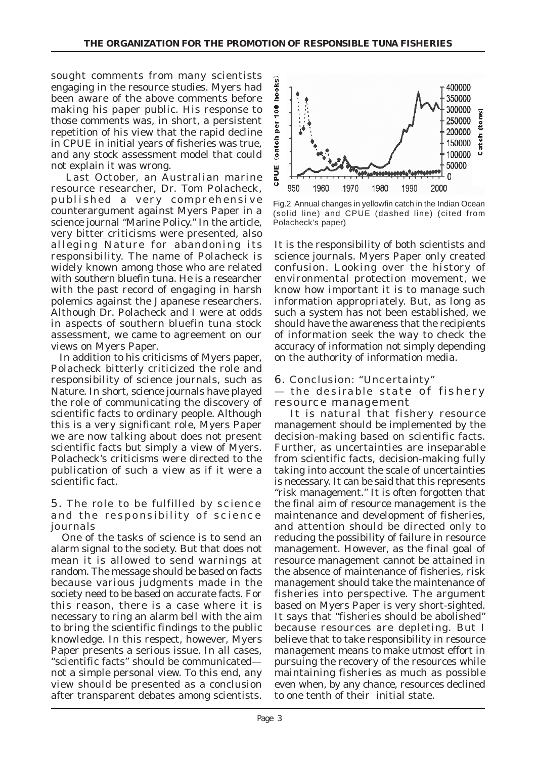sought comments from many scientists engaging in the resource studies. Myers had been aware of the above comments before making his paper public. His response to those comments was, in short, a persistent repetition of his view that the rapid decline in CPUE in initial years of fisheries was true, and any stock assessment model that could not explain it was wrong.

 Last October, an Australian marine resource researcher, Dr. Tom Polacheck, published a very comprehensive counterargument against Myers Paper in a science journal "Marine Policy." In the article, very bitter criticisms were presented, also alleging Nature for abandoning its responsibility. The name of Polacheck is widely known among those who are related with southern bluefin tuna. He is a researcher with the past record of engaging in harsh polemics against the Japanese researchers. Although Dr. Polacheck and I were at odds in aspects of southern bluefin tuna stock assessment, we came to agreement on our views on Myers Paper.

 In addition to his criticisms of Myers paper, Polacheck bitterly criticized the role and responsibility of science journals, such as Nature. In short, science journals have played the role of communicating the discovery of scientific facts to ordinary people. Although this is a very significant role, Myers Paper we are now talking about does not present scientific facts but simply a view of Myers. Polacheck's criticisms were directed to the publication of such a view as if it were a scientific fact.

#### 5. The role to be fulfilled by science and the responsibility of science journals

 One of the tasks of science is to send an alarm signal to the society. But that does not mean it is allowed to send warnings at random. The message should be based on facts because various judgments made in the society need to be based on accurate facts. For this reason, there is a case where it is necessary to ring an alarm bell with the aim to bring the scientific findings to the public knowledge. In this respect, however, Myers Paper presents a serious issue. In all cases, "scientific facts" should be communicated not a simple personal view. To this end, any view should be presented as a conclusion after transparent debates among scientists.



Fig.2 Annual changes in yellowfin catch in the Indian Ocean (solid line) and CPUE (dashed line) (cited from Polacheck's paper)

It is the responsibility of both scientists and science journals. Myers Paper only created confusion. Looking over the history of environmental protection movement, we know how important it is to manage such information appropriately. But, as long as such a system has not been established, we should have the awareness that the recipients of information seek the way to check the accuracy of information not simply depending on the authority of information media.

6. Conclusion: "Uncertainty"

### — the desirable state of fishery resource management

 It is natural that fishery resource management should be implemented by the decision-making based on scientific facts. Further, as uncertainties are inseparable from scientific facts, decision-making fully taking into account the scale of uncertainties is necessary. It can be said that this represents "risk management." It is often forgotten that the final aim of resource management is the maintenance and development of fisheries, and attention should be directed only to reducing the possibility of failure in resource management. However, as the final goal of resource management cannot be attained in the absence of maintenance of fisheries, risk management should take the maintenance of fisheries into perspective. The argument based on Myers Paper is very short-sighted. It says that "fisheries should be abolished" because resources are depleting. But I believe that to take responsibility in resource management means to make utmost effort in pursuing the recovery of the resources while maintaining fisheries as much as possible even when, by any chance, resources declined to one tenth of their initial state.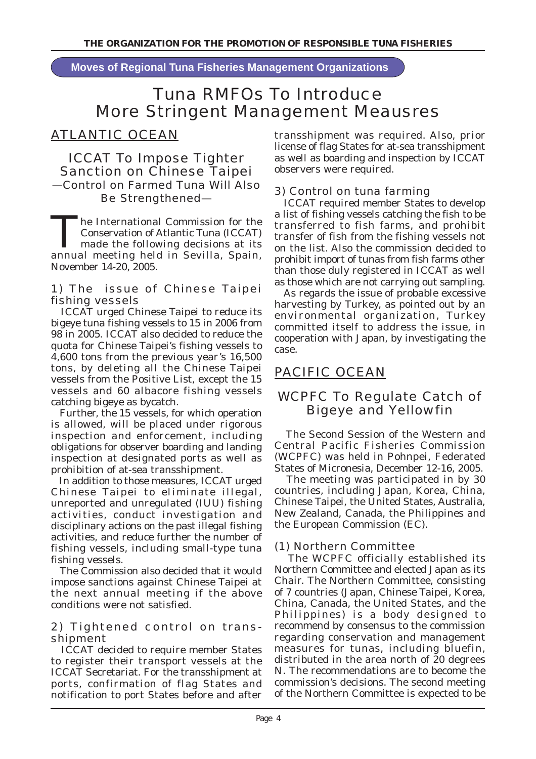**Moves of Regional Tuna Fisheries Management Organizations**

# Tuna RMFOs To Introduce More Stringent Management Meausres

# ATLANTIC OCEAN

## ICCAT To Impose Tighter Sanction on Chinese Taipei —Control on Farmed Tuna Will Also Be Strengthened—

The International Commission for the<br>
Conservation of Atlantic Tuna (ICCAT)<br>
made the following decisions at its<br>
spain and in Seville Spain Conservation of Atlantic Tuna (ICCAT) annual meeting held in Sevilla, Spain, November 14-20, 2005.

### 1) The issue of Chinese Taipei fishing vessels

 ICCAT urged Chinese Taipei to reduce its bigeye tuna fishing vessels to 15 in 2006 from 98 in 2005. ICCAT also decided to reduce the quota for Chinese Taipei's fishing vessels to 4,600 tons from the previous year's 16,500 tons, by deleting all the Chinese Taipei vessels from the Positive List, except the 15 vessels and 60 albacore fishing vessels catching bigeye as bycatch.

 Further, the 15 vessels, for which operation is allowed, will be placed under rigorous inspection and enforcement, including obligations for observer boarding and landing inspection at designated ports as well as prohibition of at-sea transshipment.

 In addition to those measures, ICCAT urged Chinese Taipei to eliminate illegal, unreported and unregulated (IUU) fishing activities, conduct investigation and disciplinary actions on the past illegal fishing activities, and reduce further the number of fishing vessels, including small-type tuna fishing vessels.

 The Commission also decided that it would impose sanctions against Chinese Taipei at the next annual meeting if the above conditions were not satisfied.

## 2) Tightened control on transshipment

 ICCAT decided to require member States to register their transport vessels at the ICCAT Secretariat. For the transshipment at ports, confirmation of flag States and notification to port States before and after transshipment was required. Also, prior license of flag States for at-sea transshipment as well as boarding and inspection by ICCAT observers were required.

## 3) Control on tuna farming

 ICCAT required member States to develop a list of fishing vessels catching the fish to be transferred to fish farms, and prohibit transfer of fish from the fishing vessels not on the list. Also the commission decided to prohibit import of tunas from fish farms other than those duly registered in ICCAT as well as those which are not carrying out sampling.

 As regards the issue of probable excessive harvesting by Turkey, as pointed out by an environmental organization, Turkey committed itself to address the issue, in cooperation with Japan, by investigating the case.

# PACIFIC OCEAN

# WCPFC To Regulate Catch of Bigeye and Yellowfin

 The Second Session of the Western and Central Pacific Fisheries Commission (WCPFC) was held in Pohnpei, Federated States of Micronesia, December 12-16, 2005.

 The meeting was participated in by 30 countries, including Japan, Korea, China, Chinese Taipei, the United States, Australia, New Zealand, Canada, the Philippines and the European Commission (EC).

## (1) Northern Committee

 The WCPFC officially established its Northern Committee and elected Japan as its Chair. The Northern Committee, consisting of 7 countries (Japan, Chinese Taipei, Korea, China, Canada, the United States, and the Philippines) is a body designed to recommend by consensus to the commission regarding conservation and management measures for tunas, including bluefin, distributed in the area north of 20 degrees N. The recommendations are to become the commission's decisions. The second meeting of the Northern Committee is expected to be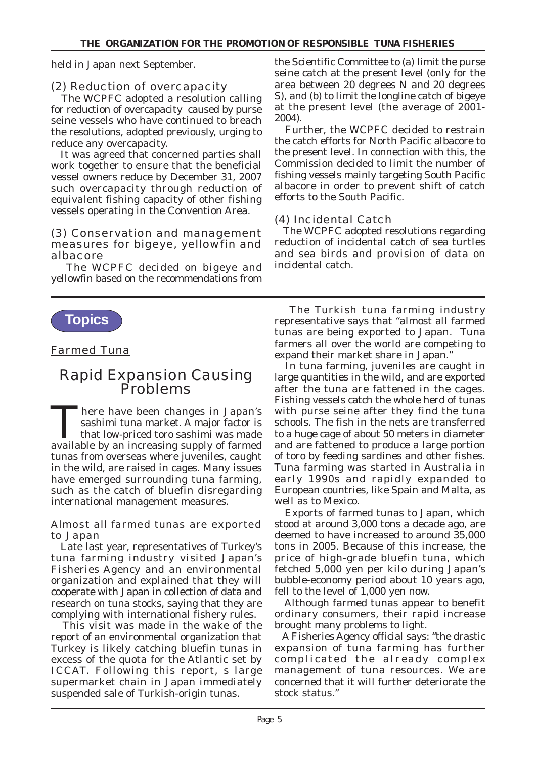held in Japan next September.

## (2) Reduction of overcapacity

 The WCPFC adopted a resolution calling for reduction of overcapacity caused by purse seine vessels who have continued to breach the resolutions, adopted previously, urging to reduce any overcapacity.

 It was agreed that concerned parties shall work together to ensure that the beneficial vessel owners reduce by December 31, 2007 such overcapacity through reduction of equivalent fishing capacity of other fishing vessels operating in the Convention Area.

#### (3) Conservation and management measures for bigeye, yellowfin and albacore

 The WCPFC decided on bigeye and yellowfin based on the recommendations from



### Farmed Tuna

# Rapid Expansion Causing Problems

There have been changes in Japan's<br>sashimi tuna market. A major factor is<br>that low-priced toro sashimi was made sashimi tuna market. A major factor is that low-priced toro sashimi was made available by an increasing supply of farmed tunas from overseas where juveniles, caught in the wild, are raised in cages. Many issues have emerged surrounding tuna farming, such as the catch of bluefin disregarding international management measures.

#### Almost all farmed tunas are exported to Japan

 Late last year, representatives of Turkey's tuna farming industry visited Japan's Fisheries Agency and an environmental organization and explained that they will cooperate with Japan in collection of data and research on tuna stocks, saying that they are complying with international fishery rules.

 This visit was made in the wake of the report of an environmental organization that Turkey is likely catching bluefin tunas in excess of the quota for the Atlantic set by ICCAT. Following this report, s large supermarket chain in Japan immediately suspended sale of Turkish-origin tunas.

the Scientific Committee to (a) limit the purse seine catch at the present level (only for the area between 20 degrees N and 20 degrees S), and (b) to limit the longline catch of bigeye at the present level (the average of 2001- 2004).

 Further, the WCPFC decided to restrain the catch efforts for North Pacific albacore to the present level. In connection with this, the Commission decided to limit the number of fishing vessels mainly targeting South Pacific albacore in order to prevent shift of catch efforts to the South Pacific.

## (4) Incidental Catch

 The WCPFC adopted resolutions regarding reduction of incidental catch of sea turtles and sea birds and provision of data on incidental catch.

 The Turkish tuna farming industry representative says that "almost all farmed tunas are being exported to Japan. Tuna farmers all over the world are competing to expand their market share in Japan."

 In tuna farming, juveniles are caught in large quantities in the wild, and are exported after the tuna are fattened in the cages. Fishing vessels catch the whole herd of tunas with purse seine after they find the tuna schools. The fish in the nets are transferred to a huge cage of about 50 meters in diameter and are fattened to produce a large portion of toro by feeding sardines and other fishes. Tuna farming was started in Australia in early 1990s and rapidly expanded to European countries, like Spain and Malta, as well as to Mexico.

 Exports of farmed tunas to Japan, which stood at around 3,000 tons a decade ago, are deemed to have increased to around 35,000 tons in 2005. Because of this increase, the price of high-grade bluefin tuna, which fetched 5,000 yen per kilo during Japan's bubble-economy period about 10 years ago, fell to the level of 1,000 yen now.

 Although farmed tunas appear to benefit ordinary consumers, their rapid increase brought many problems to light.

 A Fisheries Agency official says: "the drastic expansion of tuna farming has further complicated the already complex management of tuna resources. We are concerned that it will further deteriorate the stock status."